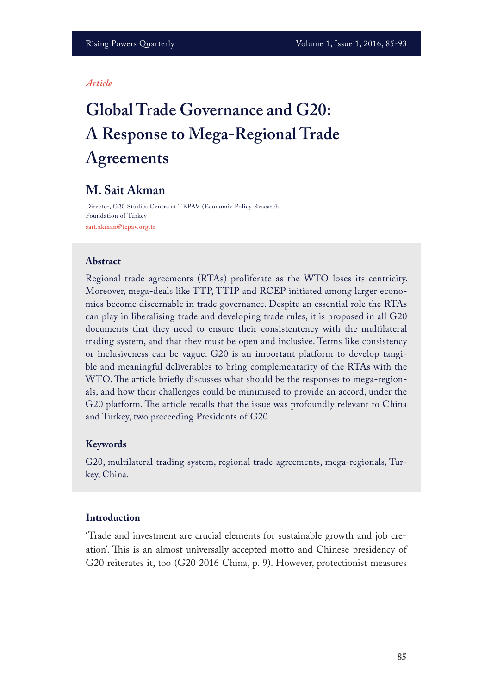#### *Article*

# **Global Trade Governance and G20: A Response to Mega-Regional Trade Agreements**

# **M. Sait Akman**

Director, G20 Studies Centre at TEPAV (Economic Policy Research Foundation of Turkey **sait.akman@tepav.org.tr**

#### **Abstract**

Regional trade agreements (RTAs) proliferate as the WTO loses its centricity. Moreover, mega-deals like TTP, TTIP and RCEP initiated among larger economies become discernable in trade governance. Despite an essential role the RTAs can play in liberalising trade and developing trade rules, it is proposed in all G20 documents that they need to ensure their consistentency with the multilateral trading system, and that they must be open and inclusive. Terms like consistency or inclusiveness can be vague. G20 is an important platform to develop tangible and meaningful deliverables to bring complementarity of the RTAs with the WTO. The article briefly discusses what should be the responses to mega-regionals, and how their challenges could be minimised to provide an accord, under the G20 platform. The article recalls that the issue was profoundly relevant to China and Turkey, two preceeding Presidents of G20.

#### **Keywords**

G20, multilateral trading system, regional trade agreements, mega-regionals, Turkey, China.

## **Introduction**

'Trade and investment are crucial elements for sustainable growth and job creation'. This is an almost universally accepted motto and Chinese presidency of G20 reiterates it, too (G20 2016 China, p. 9). However, protectionist measures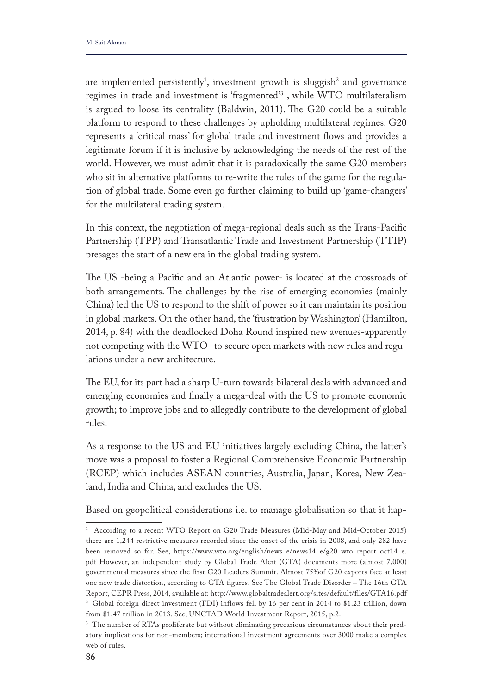are implemented persistently<sup>1</sup>, investment growth is sluggish<sup>2</sup> and governance regimes in trade and investment is 'fragmented'3 , while WTO multilateralism is argued to loose its centrality (Baldwin, 2011). The G20 could be a suitable platform to respond to these challenges by upholding multilateral regimes. G20 represents a 'critical mass' for global trade and investment fows and provides a legitimate forum if it is inclusive by acknowledging the needs of the rest of the world. However, we must admit that it is paradoxically the same G20 members who sit in alternative platforms to re-write the rules of the game for the regulation of global trade. Some even go further claiming to build up 'game-changers' for the multilateral trading system.

In this context, the negotiation of mega-regional deals such as the Trans-Pacifc Partnership (TPP) and Transatlantic Trade and Investment Partnership (TTIP) presages the start of a new era in the global trading system.

The US -being a Pacific and an Atlantic power- is located at the crossroads of both arrangements. The challenges by the rise of emerging economies (mainly China) led the US to respond to the shift of power so it can maintain its position in global markets. On the other hand, the 'frustration by Washington' (Hamilton, 2014, p. 84) with the deadlocked Doha Round inspired new avenues-apparently not competing with the WTO- to secure open markets with new rules and regulations under a new architecture.

The EU, for its part had a sharp U-turn towards bilateral deals with advanced and emerging economies and fnally a mega-deal with the US to promote economic growth; to improve jobs and to allegedly contribute to the development of global rules.

As a response to the US and EU initiatives largely excluding China, the latter's move was a proposal to foster a Regional Comprehensive Economic Partnership (RCEP) which includes ASEAN countries, Australia, Japan, Korea, New Zealand, India and China, and excludes the US.

Based on geopolitical considerations i.e. to manage globalisation so that it hap-

<sup>1</sup> According to a recent WTO Report on G20 Trade Measures (Mid-May and Mid-October 2015) there are 1,244 restrictive measures recorded since the onset of the crisis in 2008, and only 282 have been removed so far. See, https://www.wto.org/english/news\_e/news14\_e/g20\_wto\_report\_oct14\_e. pdf However, an independent study by Global Trade Alert (GTA) documents more (almost 7,000) governmental measures since the first G20 Leaders Summit. Almost 75%of G20 exports face at least one new trade distortion, according to GTA figures. See The Global Trade Disorder – The 16th GTA Report, CEPR Press, 2014, available at: http://www.globaltradealert.org/sites/default/files/GTA16.pdf <sup>2</sup> Global foreign direct investment (FDI) inflows fell by 16 per cent in 2014 to \$1.23 trillion, down from \$1.47 trillion in 2013. See, UNCTAD World Investment Report, 2015, p.2.

<sup>&</sup>lt;sup>3</sup> The number of RTAs proliferate but without eliminating precarious circumstances about their predatory implications for non-members; international investment agreements over 3000 make a complex web of rules.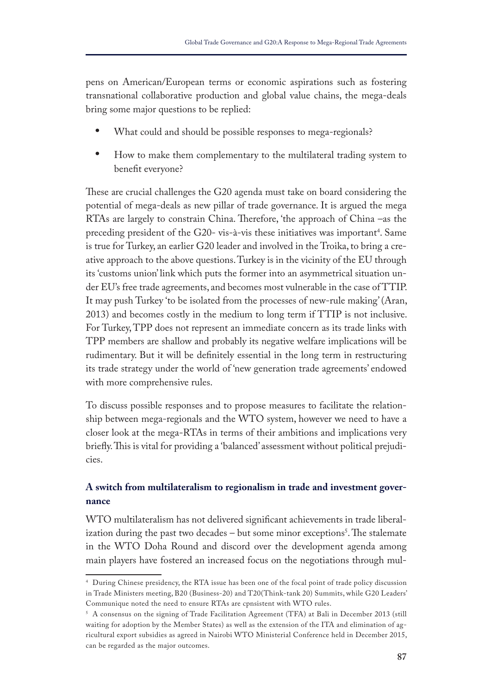pens on American/European terms or economic aspirations such as fostering transnational collaborative production and global value chains, the mega-deals bring some major questions to be replied:

- **•** What could and should be possible responses to mega-regionals?
- **•** How to make them complementary to the multilateral trading system to beneft everyone?

These are crucial challenges the G20 agenda must take on board considering the potential of mega-deals as new pillar of trade governance. It is argued the mega RTAs are largely to constrain China. Therefore, 'the approach of China –as the preceding president of the G20- vis-à-vis these initiatives was important<sup>4</sup>. Same is true for Turkey, an earlier G20 leader and involved in the Troika, to bring a creative approach to the above questions. Turkey is in the vicinity of the EU through its 'customs union' link which puts the former into an asymmetrical situation under EU's free trade agreements, and becomes most vulnerable in the case of TTIP. It may push Turkey 'to be isolated from the processes of new-rule making' (Aran, 2013) and becomes costly in the medium to long term if TTIP is not inclusive. For Turkey, TPP does not represent an immediate concern as its trade links with TPP members are shallow and probably its negative welfare implications will be rudimentary. But it will be defnitely essential in the long term in restructuring its trade strategy under the world of 'new generation trade agreements' endowed with more comprehensive rules.

To discuss possible responses and to propose measures to facilitate the relationship between mega-regionals and the WTO system, however we need to have a closer look at the mega-RTAs in terms of their ambitions and implications very briefly. This is vital for providing a 'balanced' assessment without political prejudicies.

# **A switch from multilateralism to regionalism in trade and investment governance**

WTO multilateralism has not delivered signifcant achievements in trade liberalization during the past two decades – but some minor exceptions<sup>5</sup>. The stalemate in the WTO Doha Round and discord over the development agenda among main players have fostered an increased focus on the negotiations through mul-

<sup>4</sup> During Chinese presidency, the RTA issue has been one of the focal point of trade policy discussion in Trade Ministers meeting, B20 (Business-20) and T20(Think-tank 20) Summits, while G20 Leaders' Communique noted the need to ensure RTAs are cpnsistent with WTO rules.

<sup>5</sup> A consensus on the signing of Trade Facilitation Agreement (TFA) at Bali in December 2013 (still waiting for adoption by the Member States) as well as the extension of the ITA and elimination of agricultural export subsidies as agreed in Nairobi WTO Ministerial Conference held in December 2015, can be regarded as the major outcomes.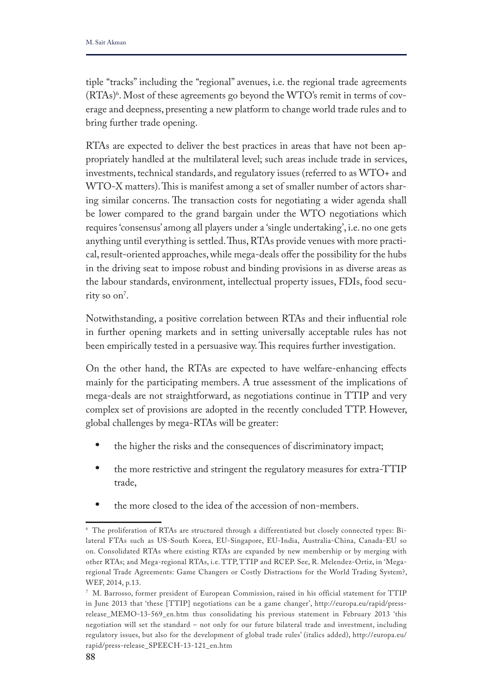tiple "tracks" including the "regional" avenues, i.e. the regional trade agreements (RTAs)<sup>6</sup>. Most of these agreements go beyond the WTO's remit in terms of coverage and deepness, presenting a new platform to change world trade rules and to bring further trade opening.

RTAs are expected to deliver the best practices in areas that have not been appropriately handled at the multilateral level; such areas include trade in services, investments, technical standards, and regulatory issues (referred to as WTO+ and WTO-X matters). This is manifest among a set of smaller number of actors sharing similar concerns. The transaction costs for negotiating a wider agenda shall be lower compared to the grand bargain under the WTO negotiations which requires 'consensus' among all players under a 'single undertaking', i.e. no one gets anything until everything is settled. Thus, RTAs provide venues with more practical, result-oriented approaches, while mega-deals offer the possibility for the hubs in the driving seat to impose robust and binding provisions in as diverse areas as the labour standards, environment, intellectual property issues, FDIs, food security so on'.

Notwithstanding, a positive correlation between RTAs and their infuential role in further opening markets and in setting universally acceptable rules has not been empirically tested in a persuasive way. This requires further investigation.

On the other hand, the RTAs are expected to have welfare-enhancing efects mainly for the participating members. A true assessment of the implications of mega-deals are not straightforward, as negotiations continue in TTIP and very complex set of provisions are adopted in the recently concluded TTP. However, global challenges by mega-RTAs will be greater:

- **•** the higher the risks and the consequences of discriminatory impact;
- **•** the more restrictive and stringent the regulatory measures for extra-TTIP trade,
- **•** the more closed to the idea of the accession of non-members.

<sup>6</sup> The proliferation of RTAs are structured through a differentiated but closely connected types: Bilateral FTAs such as US-South Korea, EU-Singapore, EU-India, Australia-China, Canada-EU so on. Consolidated RTAs where existing RTAs are expanded by new membership or by merging with other RTAs; and Mega-regional RTAs, i.e. TTP, TTIP and RCEP. See, R. Melendez-Ortiz, in 'Megaregional Trade Agreements: Game Changers or Costly Distractions for the World Trading System?, WEF, 2014, p.13.

<sup>7</sup> M. Barrosso, former president of European Commission, raised in his official statement for TTIP in June 2013 that 'these [TTIP] negotiations can be a game changer', http://europa.eu/rapid/pressrelease\_MEMO-13-569\_en.htm thus consolidating his previous statement in February 2013 'this negotiation will set the standard – not only for our future bilateral trade and investment, including regulatory issues, but also for the development of global trade rules' (italics added), http://europa.eu/ rapid/press-release\_SPEECH-13-121\_en.htm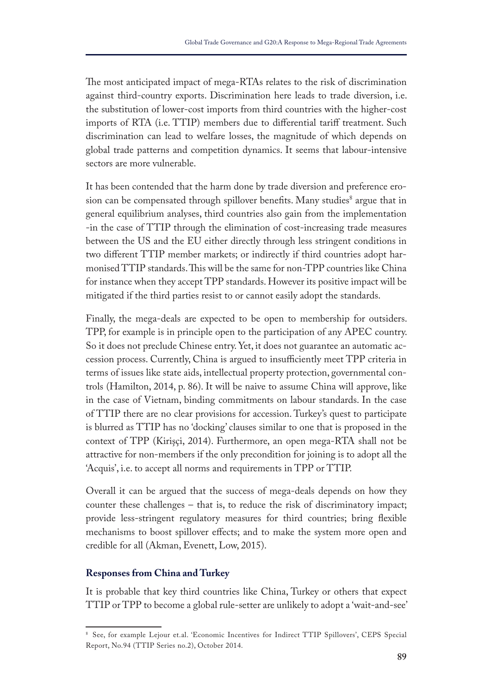The most anticipated impact of mega-RTAs relates to the risk of discrimination against third-country exports. Discrimination here leads to trade diversion, i.e. the substitution of lower-cost imports from third countries with the higher-cost imports of RTA (i.e. TTIP) members due to diferential tarif treatment. Such discrimination can lead to welfare losses, the magnitude of which depends on global trade patterns and competition dynamics. It seems that labour-intensive sectors are more vulnerable.

It has been contended that the harm done by trade diversion and preference erosion can be compensated through spillover benefits. Many studies<sup>8</sup> argue that in general equilibrium analyses, third countries also gain from the implementation -in the case of TTIP through the elimination of cost-increasing trade measures between the US and the EU either directly through less stringent conditions in two diferent TTIP member markets; or indirectly if third countries adopt harmonised TTIP standards. This will be the same for non-TPP countries like China for instance when they accept TPP standards. However its positive impact will be mitigated if the third parties resist to or cannot easily adopt the standards.

Finally, the mega-deals are expected to be open to membership for outsiders. TPP, for example is in principle open to the participation of any APEC country. So it does not preclude Chinese entry. Yet, it does not guarantee an automatic accession process. Currently, China is argued to insufficiently meet TPP criteria in terms of issues like state aids, intellectual property protection, governmental controls (Hamilton, 2014, p. 86). It will be naive to assume China will approve, like in the case of Vietnam, binding commitments on labour standards. In the case of TTIP there are no clear provisions for accession. Turkey's quest to participate is blurred as TTIP has no 'docking' clauses similar to one that is proposed in the context of TPP (Kirişçi, 2014). Furthermore, an open mega-RTA shall not be attractive for non-members if the only precondition for joining is to adopt all the 'Acquis', i.e. to accept all norms and requirements in TPP or TTIP.

Overall it can be argued that the success of mega-deals depends on how they counter these challenges – that is, to reduce the risk of discriminatory impact; provide less-stringent regulatory measures for third countries; bring fexible mechanisms to boost spillover effects; and to make the system more open and credible for all (Akman, Evenett, Low, 2015).

## **Responses from China and Turkey**

It is probable that key third countries like China, Turkey or others that expect TTIP or TPP to become a global rule-setter are unlikely to adopt a 'wait-and-see'

<sup>8</sup> See, for example Lejour et.al. 'Economic Incentives for Indirect TTIP Spillovers', CEPS Special Report, No.94 (TTIP Series no.2), October 2014.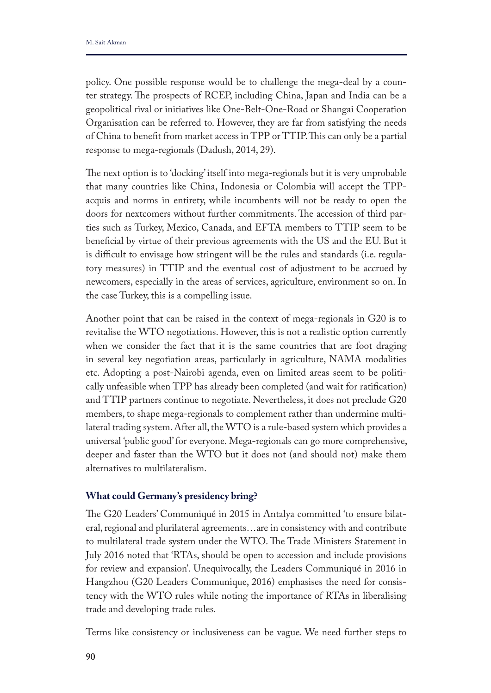policy. One possible response would be to challenge the mega-deal by a counter strategy. The prospects of RCEP, including China, Japan and India can be a geopolitical rival or initiatives like One-Belt-One-Road or Shangai Cooperation Organisation can be referred to. However, they are far from satisfying the needs of China to benefit from market access in TPP or TTIP. This can only be a partial response to mega-regionals (Dadush, 2014, 29).

The next option is to 'docking' itself into mega-regionals but it is very unprobable that many countries like China, Indonesia or Colombia will accept the TPPacquis and norms in entirety, while incumbents will not be ready to open the doors for nextcomers without further commitments. The accession of third parties such as Turkey, Mexico, Canada, and EFTA members to TTIP seem to be benefcial by virtue of their previous agreements with the US and the EU. But it is difficult to envisage how stringent will be the rules and standards (i.e. regulatory measures) in TTIP and the eventual cost of adjustment to be accrued by newcomers, especially in the areas of services, agriculture, environment so on. In the case Turkey, this is a compelling issue.

Another point that can be raised in the context of mega-regionals in G20 is to revitalise the WTO negotiations. However, this is not a realistic option currently when we consider the fact that it is the same countries that are foot draging in several key negotiation areas, particularly in agriculture, NAMA modalities etc. Adopting a post-Nairobi agenda, even on limited areas seem to be politically unfeasible when TPP has already been completed (and wait for ratifcation) and TTIP partners continue to negotiate. Nevertheless, it does not preclude G20 members, to shape mega-regionals to complement rather than undermine multilateral trading system. After all, the WTO is a rule-based system which provides a universal 'public good' for everyone. Mega-regionals can go more comprehensive, deeper and faster than the WTO but it does not (and should not) make them alternatives to multilateralism.

### **What could Germany's presidency bring?**

The G20 Leaders' Communiqué in 2015 in Antalya committed 'to ensure bilateral, regional and plurilateral agreements…are in consistency with and contribute to multilateral trade system under the WTO. The Trade Ministers Statement in July 2016 noted that 'RTAs, should be open to accession and include provisions for review and expansion'. Unequivocally, the Leaders Communiqué in 2016 in Hangzhou (G20 Leaders Communique, 2016) emphasises the need for consistency with the WTO rules while noting the importance of RTAs in liberalising trade and developing trade rules.

Terms like consistency or inclusiveness can be vague. We need further steps to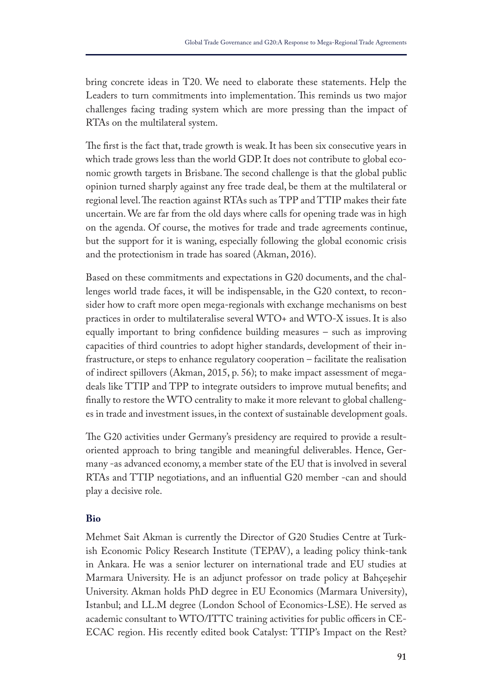bring concrete ideas in T20. We need to elaborate these statements. Help the Leaders to turn commitments into implementation. This reminds us two major challenges facing trading system which are more pressing than the impact of RTAs on the multilateral system.

The first is the fact that, trade growth is weak. It has been six consecutive years in which trade grows less than the world GDP. It does not contribute to global economic growth targets in Brisbane. The second challenge is that the global public opinion turned sharply against any free trade deal, be them at the multilateral or regional level. The reaction against RTAs such as TPP and TTIP makes their fate uncertain. We are far from the old days where calls for opening trade was in high on the agenda. Of course, the motives for trade and trade agreements continue, but the support for it is waning, especially following the global economic crisis and the protectionism in trade has soared (Akman, 2016).

Based on these commitments and expectations in G20 documents, and the challenges world trade faces, it will be indispensable, in the G20 context, to reconsider how to craft more open mega-regionals with exchange mechanisms on best practices in order to multilateralise several WTO+ and WTO-X issues. It is also equally important to bring confdence building measures – such as improving capacities of third countries to adopt higher standards, development of their infrastructure, or steps to enhance regulatory cooperation – facilitate the realisation of indirect spillovers (Akman, 2015, p. 56); to make impact assessment of megadeals like TTIP and TPP to integrate outsiders to improve mutual benefts; and fnally to restore the WTO centrality to make it more relevant to global challenges in trade and investment issues, in the context of sustainable development goals.

The G20 activities under Germany's presidency are required to provide a resultoriented approach to bring tangible and meaningful deliverables. Hence, Germany -as advanced economy, a member state of the EU that is involved in several RTAs and TTIP negotiations, and an infuential G20 member -can and should play a decisive role.

## **Bio**

Mehmet Sait Akman is currently the Director of G20 Studies Centre at Turkish Economic Policy Research Institute (TEPAV), a leading policy think-tank in Ankara. He was a senior lecturer on international trade and EU studies at Marmara University. He is an adjunct professor on trade policy at Bahçeşehir University. Akman holds PhD degree in EU Economics (Marmara University), Istanbul; and LL.M degree (London School of Economics-LSE). He served as academic consultant to WTO/ITTC training activities for public officers in CE-ECAC region. His recently edited book Catalyst: TTIP's Impact on the Rest?